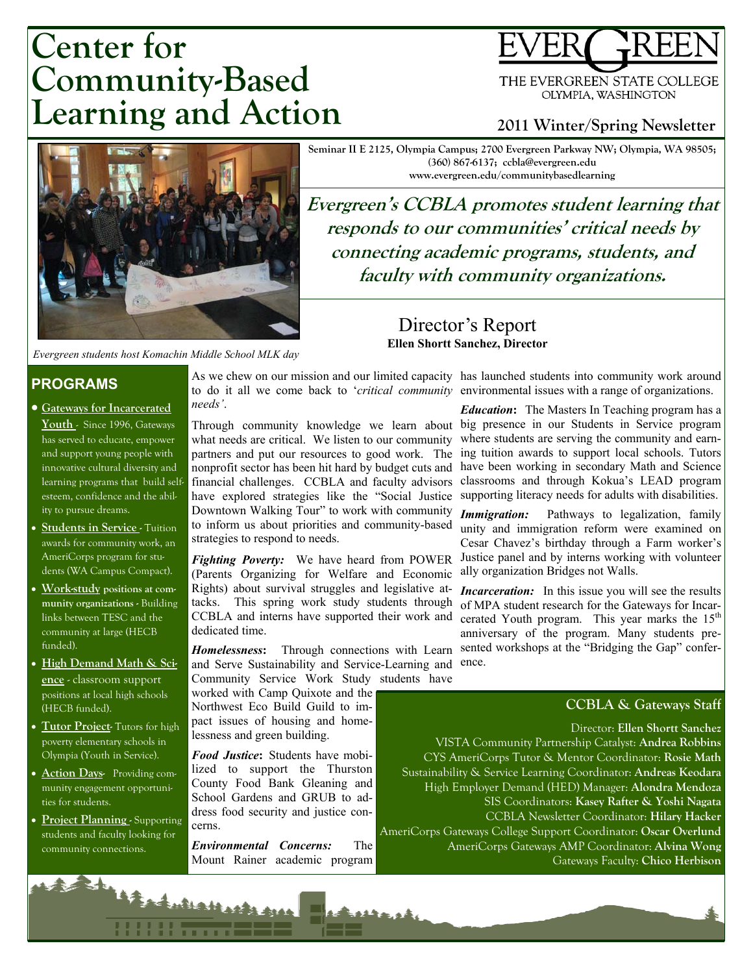# **Center for Community-Based Learning and Action**

THE EVERGREEN STATE COLLEGE OLYMPIA, WASHINGTON

### **2011 Winter/Spring Newsletter**



*Evergreen students host Komachin Middle School MLK day* 

#### **PROGRAMS**

- **Gateways for Incarcerated Youth** - Since 1996, Gateways has served to educate, empower and support young people with innovative cultural diversity and learning programs that build selfesteem, confidence and the ability to pursue dreams.
- **Students in Service** Tuition awards for community work, an AmeriCorps program for students (WA Campus Compact).
- x **Work-study positions at community organizations -** Building links between TESC and the community at large (HECB funded).
- x **High Demand Math & Science** - classroom support positions at local high schools (HECB funded).
- Tutor Project- Tutors for high poverty elementary schools in Olympia (Youth in Service).
- **Action Days-** Providing community engagement opportunities for students.
- x **Project Planning** Supporting students and faculty looking for community connections.

As we chew on our mission and our limited capacity has launched students into community work around to do it all we come back to '*critical community*  environmental issues with a range of organizations. *needs'*.

Through community knowledge we learn about what needs are critical. We listen to our community partners and put our resources to good work. The nonprofit sector has been hit hard by budget cuts and financial challenges. CCBLA and faculty advisors classrooms and through Kokua's LEAD program have explored strategies like the "Social Justice supporting literacy needs for adults with disabilities. Downtown Walking Tour" to work with community to inform us about priorities and community-based strategies to respond to needs.

*Fighting Poverty:* We have heard from POWER (Parents Organizing for Welfare and Economic Rights) about survival struggles and legislative attacks. This spring work study students through CCBLA and interns have supported their work and dedicated time.

*Homelessness***:** Through connections with Learn and Serve Sustainability and Service-Learning and Community Service Work Study students have

worked with Camp Quixote and the Northwest Eco Build Guild to impact issues of housing and homelessness and green building.

*Food Justice***:** Students have mobilized to support the Thurston County Food Bank Gleaning and School Gardens and GRUB to address food security and justice concerns.

*Environmental Concerns:* The Mount Rainer academic program

Antications and

Director's Report **Ellen Shortt Sanchez, Director**

**Seminar II E 2125, Olympia Campus; 2700 Evergreen Parkway NW; Olympia, WA 98505; (360) 867-6137; ccbla@evergreen.edu www.evergreen.edu/communitybasedlearning** 

Evergreen's CCBLA promotes student learning that responds to our communities' critical needs by **connecting academic programs, students, and faculty with community organizations.** 

> *Education***:** The Masters In Teaching program has a big presence in our Students in Service program where students are serving the community and earning tuition awards to support local schools. Tutors have been working in secondary Math and Science

> *Immigration:* Pathways to legalization, family unity and immigration reform were examined on Cesar Chavez's birthday through a Farm worker's Justice panel and by interns working with volunteer ally organization Bridges not Walls.

> *Incarceration:* In this issue you will see the results of MPA student research for the Gateways for Incarcerated Youth program. This year marks the  $15<sup>th</sup>$ anniversary of the program. Many students presented workshops at the "Bridging the Gap" conference.

#### **CCBLA & Gateways Staff**

Director: **Ellen Shortt Sanchez**  VISTA Community Partnership Catalyst: **Andrea Robbins**  CYS AmeriCorps Tutor & Mentor Coordinator: **Rosie Math**  Sustainability & Service Learning Coordinator: **Andreas Keodara**  High Employer Demand (HED) Manager: **Alondra Mendoza**  SIS Coordinators: **Kasey Rafter & Yoshi Nagata**  CCBLA Newsletter Coordinator: **Hilary Hacker**  AmeriCorps Gateways College Support Coordinator: **Oscar Overlund**  AmeriCorps Gateways AMP Coordinator: **Alvina Wong**  Gateways Faculty: **Chico Herbison**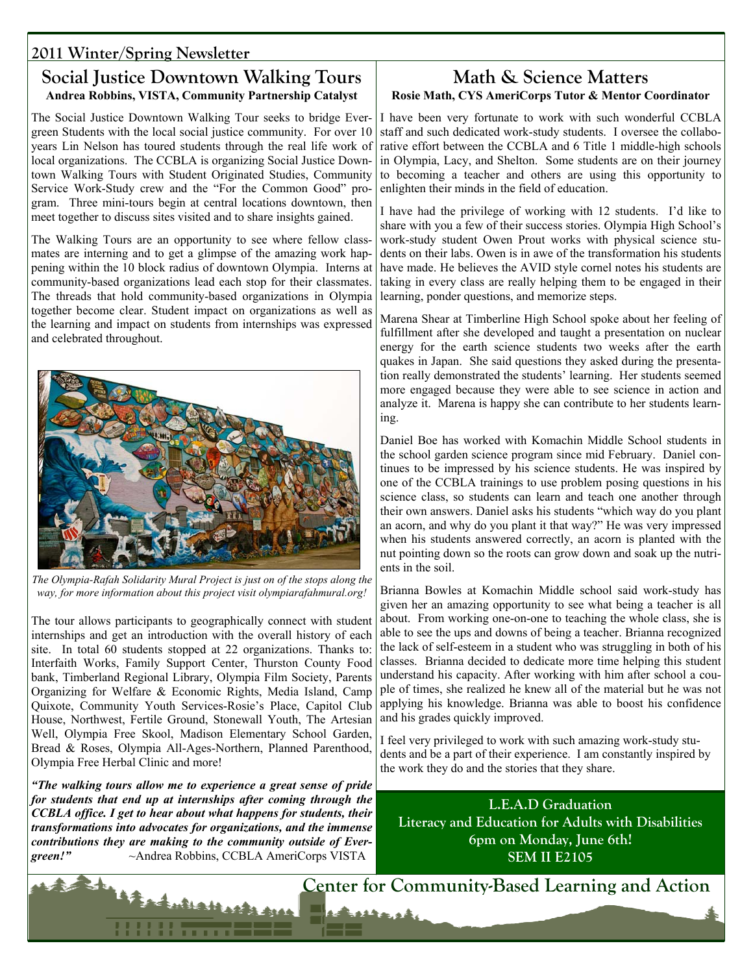# **2011 Winter/Spring Newsletter**

### **Social Justice Downtown Walking Tours Andrea Robbins, VISTA, Community Partnership Catalyst**

The Social Justice Downtown Walking Tour seeks to bridge Evergreen Students with the local social justice community. For over 10 years Lin Nelson has toured students through the real life work of local organizations. The CCBLA is organizing Social Justice Downtown Walking Tours with Student Originated Studies, Community Service Work-Study crew and the "For the Common Good" program. Three mini-tours begin at central locations downtown, then meet together to discuss sites visited and to share insights gained.

The Walking Tours are an opportunity to see where fellow classmates are interning and to get a glimpse of the amazing work happening within the 10 block radius of downtown Olympia. Interns at community-based organizations lead each stop for their classmates. The threads that hold community-based organizations in Olympia together become clear. Student impact on organizations as well as the learning and impact on students from internships was expressed and celebrated throughout.



*The Olympia-Rafah Solidarity Mural Project is just on of the stops along the way, for more information about this project visit olympiarafahmural.org!* 

The tour allows participants to geographically connect with student internships and get an introduction with the overall history of each site. In total 60 students stopped at 22 organizations. Thanks to: Interfaith Works, Family Support Center, Thurston County Food bank, Timberland Regional Library, Olympia Film Society, Parents Organizing for Welfare & Economic Rights, Media Island, Camp Quixote, Community Youth Services-Rosie's Place, Capitol Club House, Northwest, Fertile Ground, Stonewall Youth, The Artesian Well, Olympia Free Skool, Madison Elementary School Garden, Bread & Roses, Olympia All-Ages-Northern, Planned Parenthood, Olympia Free Herbal Clinic and more!

*"The walking tours allow me to experience a great sense of pride for students that end up at internships after coming through the CCBLA office. I get to hear about what happens for students, their transformations into advocates for organizations, and the immense contributions they are making to the community outside of Evergreen!"* ~Andrea Robbins, CCBLA AmeriCorps VISTA

Antications and

#### **Math & Science Matters Rosie Math, CYS AmeriCorps Tutor & Mentor Coordinator**

I have been very fortunate to work with such wonderful CCBLA staff and such dedicated work-study students. I oversee the collaborative effort between the CCBLA and 6 Title 1 middle-high schools in Olympia, Lacy, and Shelton. Some students are on their journey to becoming a teacher and others are using this opportunity to enlighten their minds in the field of education.

I have had the privilege of working with 12 students. I'd like to share with you a few of their success stories. Olympia High School's work-study student Owen Prout works with physical science students on their labs. Owen is in awe of the transformation his students have made. He believes the AVID style cornel notes his students are taking in every class are really helping them to be engaged in their learning, ponder questions, and memorize steps.

Marena Shear at Timberline High School spoke about her feeling of fulfillment after she developed and taught a presentation on nuclear energy for the earth science students two weeks after the earth quakes in Japan. She said questions they asked during the presentation really demonstrated the students' learning. Her students seemed more engaged because they were able to see science in action and analyze it. Marena is happy she can contribute to her students learning.

Daniel Boe has worked with Komachin Middle School students in the school garden science program since mid February. Daniel continues to be impressed by his science students. He was inspired by one of the CCBLA trainings to use problem posing questions in his science class, so students can learn and teach one another through their own answers. Daniel asks his students "which way do you plant an acorn, and why do you plant it that way?" He was very impressed when his students answered correctly, an acorn is planted with the nut pointing down so the roots can grow down and soak up the nutrients in the soil.

Brianna Bowles at Komachin Middle school said work-study has given her an amazing opportunity to see what being a teacher is all about. From working one-on-one to teaching the whole class, she is able to see the ups and downs of being a teacher. Brianna recognized the lack of self-esteem in a student who was struggling in both of his classes. Brianna decided to dedicate more time helping this student understand his capacity. After working with him after school a couple of times, she realized he knew all of the material but he was not applying his knowledge. Brianna was able to boost his confidence and his grades quickly improved.

I feel very privileged to work with such amazing work-study students and be a part of their experience. I am constantly inspired by the work they do and the stories that they share.

**L.E.A.D Graduation Literacy and Education for Adults with Disabilities 6pm on Monday, June 6th! SEM II E2105** 

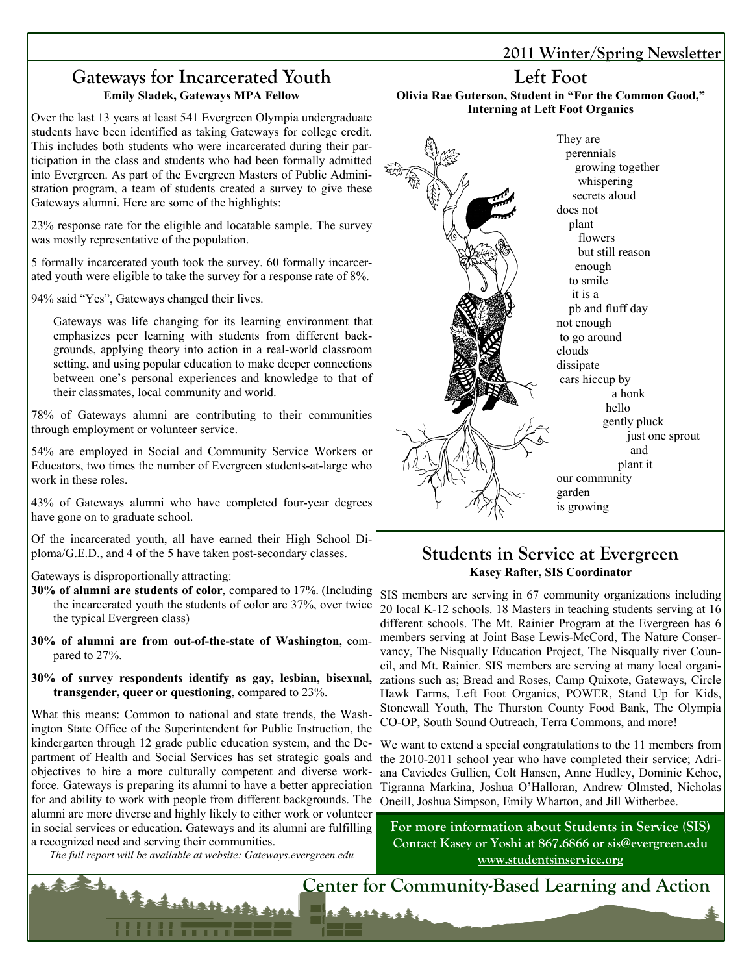### **Gateways for Incarcerated Youth Emily Sladek, Gateways MPA Fellow**

Over the last 13 years at least 541 Evergreen Olympia undergraduate students have been identified as taking Gateways for college credit. This includes both students who were incarcerated during their participation in the class and students who had been formally admitted into Evergreen. As part of the Evergreen Masters of Public Administration program, a team of students created a survey to give these Gateways alumni. Here are some of the highlights:

23% response rate for the eligible and locatable sample. The survey was mostly representative of the population.

5 formally incarcerated youth took the survey. 60 formally incarcerated youth were eligible to take the survey for a response rate of 8%.

94% said "Yes", Gateways changed their lives.

Gateways was life changing for its learning environment that emphasizes peer learning with students from different backgrounds, applying theory into action in a real-world classroom setting, and using popular education to make deeper connections between one's personal experiences and knowledge to that of their classmates, local community and world.

78% of Gateways alumni are contributing to their communities through employment or volunteer service.

54% are employed in Social and Community Service Workers or Educators, two times the number of Evergreen students-at-large who work in these roles.

43% of Gateways alumni who have completed four-year degrees have gone on to graduate school.

Of the incarcerated youth, all have earned their High School Diploma/G.E.D., and 4 of the 5 have taken post-secondary classes.

Gateways is disproportionally attracting:

- **30% of alumni are students of color**, compared to 17%. (Including the incarcerated youth the students of color are 37%, over twice the typical Evergreen class)
- **30% of alumni are from out-of-the-state of Washington**, compared to 27%.
- **30% of survey respondents identify as gay, lesbian, bisexual, transgender, queer or questioning**, compared to 23%.

What this means: Common to national and state trends, the Washington State Office of the Superintendent for Public Instruction, the kindergarten through 12 grade public education system, and the Department of Health and Social Services has set strategic goals and objectives to hire a more culturally competent and diverse workforce. Gateways is preparing its alumni to have a better appreciation for and ability to work with people from different backgrounds. The alumni are more diverse and highly likely to either work or volunteer in social services or education. Gateways and its alumni are fulfilling a recognized need and serving their communities.

*The full report will be available at website: Gateways.evergreen.edu* 

Luthatharts que

## **2011 Winter/Spring Newsletter**

# **Left Foot**

**Olivia Rae Guterson, Student in "For the Common Good," Interning at Left Foot Organics**



# **Students in Service at Evergreen Kasey Rafter, SIS Coordinator**

SIS members are serving in 67 community organizations including 20 local K-12 schools. 18 Masters in teaching students serving at 16 different schools. The Mt. Rainier Program at the Evergreen has 6 members serving at Joint Base Lewis-McCord, The Nature Conservancy, The Nisqually Education Project, The Nisqually river Council, and Mt. Rainier. SIS members are serving at many local organizations such as; Bread and Roses, Camp Quixote, Gateways, Circle Hawk Farms, Left Foot Organics, POWER, Stand Up for Kids, Stonewall Youth, The Thurston County Food Bank, The Olympia CO-OP, South Sound Outreach, Terra Commons, and more!

We want to extend a special congratulations to the 11 members from the 2010-2011 school year who have completed their service; Adriana Caviedes Gullien, Colt Hansen, Anne Hudley, Dominic Kehoe, Tigranna Markina, Joshua O'Halloran, Andrew Olmsted, Nicholas Oneill, Joshua Simpson, Emily Wharton, and Jill Witherbee.

**For more information about Students in Service (SIS) Contact Kasey or Yoshi at 867.6866 or sis@evergreen.edu www.studentsinservice.org**

**Center for Community-Based Learning and Action** 

12 strash